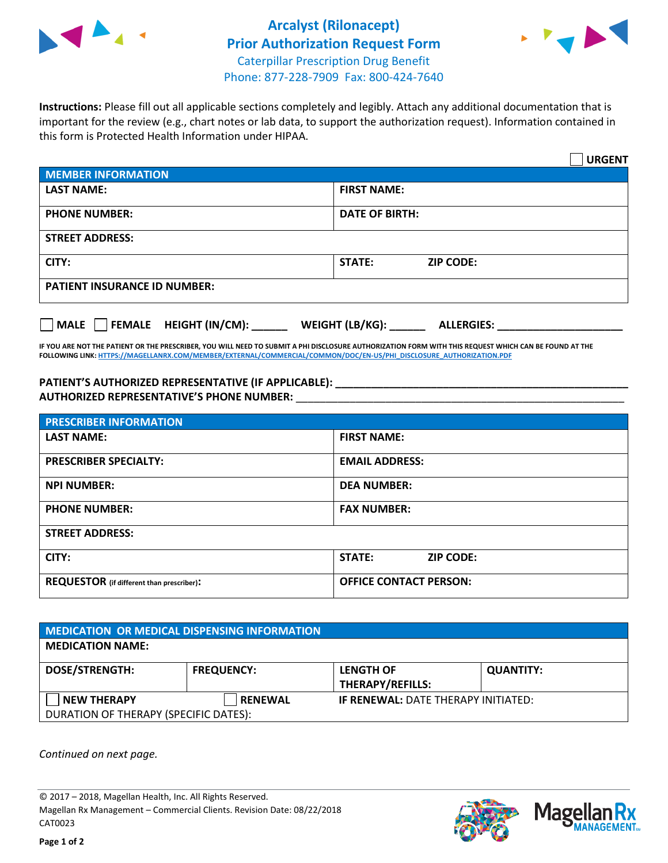

## **Arcalyst (Rilonacept) Prior Authorization Request Form** Caterpillar Prescription Drug Benefit Phone: 877-228-7909 Fax: 800-424-7640



**Instructions:** Please fill out all applicable sections completely and legibly. Attach any additional documentation that is important for the review (e.g., chart notes or lab data, to support the authorization request). Information contained in this form is Protected Health Information under HIPAA.

|                                                | <b>URGENT</b>                        |  |  |  |
|------------------------------------------------|--------------------------------------|--|--|--|
| <b>MEMBER INFORMATION</b>                      |                                      |  |  |  |
| <b>LAST NAME:</b>                              | <b>FIRST NAME:</b>                   |  |  |  |
| <b>PHONE NUMBER:</b>                           | <b>DATE OF BIRTH:</b>                |  |  |  |
| <b>STREET ADDRESS:</b>                         |                                      |  |  |  |
| CITY:                                          | <b>STATE:</b><br><b>ZIP CODE:</b>    |  |  |  |
| <b>PATIENT INSURANCE ID NUMBER:</b>            |                                      |  |  |  |
| $\Box$ FEMALE HEIGHT (IN/CM): _<br><b>MALE</b> | WEIGHT (LB/KG):<br><b>ALLERGIES:</b> |  |  |  |

**IF YOU ARE NOT THE PATIENT OR THE PRESCRIBER, YOU WILL NEED TO SUBMIT A PHI DISCLOSURE AUTHORIZATION FORM WITH THIS REQUEST WHICH CAN BE FOUND AT THE FOLLOWING LINK[: HTTPS://MAGELLANRX.COM/MEMBER/EXTERNAL/COMMERCIAL/COMMON/DOC/EN-US/PHI\\_DISCLOSURE\\_AUTHORIZATION.PDF](https://magellanrx.com/member/external/commercial/common/doc/en-us/PHI_Disclosure_Authorization.pdf)**

**PATIENT'S AUTHORIZED REPRESENTATIVE (IF APPLICABLE): \_\_\_\_\_\_\_\_\_\_\_\_\_\_\_\_\_\_\_\_\_\_\_\_\_\_\_\_\_\_\_\_\_\_\_\_\_\_\_\_\_\_\_\_\_\_\_\_\_ AUTHORIZED REPRESENTATIVE'S PHONE NUMBER:** \_\_\_\_\_\_\_\_\_\_\_\_\_\_\_\_\_\_\_\_\_\_\_\_\_\_\_\_\_\_\_\_\_\_\_\_\_\_\_\_\_\_\_\_\_\_\_\_\_\_\_\_\_\_\_

| <b>PRESCRIBER INFORMATION</b>             |                               |  |  |  |
|-------------------------------------------|-------------------------------|--|--|--|
| <b>LAST NAME:</b>                         | <b>FIRST NAME:</b>            |  |  |  |
| <b>PRESCRIBER SPECIALTY:</b>              | <b>EMAIL ADDRESS:</b>         |  |  |  |
| <b>NPI NUMBER:</b>                        | <b>DEA NUMBER:</b>            |  |  |  |
| <b>PHONE NUMBER:</b>                      | <b>FAX NUMBER:</b>            |  |  |  |
| <b>STREET ADDRESS:</b>                    |                               |  |  |  |
| CITY:                                     | STATE:<br><b>ZIP CODE:</b>    |  |  |  |
| REQUESTOR (if different than prescriber): | <b>OFFICE CONTACT PERSON:</b> |  |  |  |

| <b>MEDICATION OR MEDICAL DISPENSING INFORMATION</b> |                   |                                            |                  |  |  |
|-----------------------------------------------------|-------------------|--------------------------------------------|------------------|--|--|
| <b>MEDICATION NAME:</b>                             |                   |                                            |                  |  |  |
| <b>DOSE/STRENGTH:</b>                               | <b>FREQUENCY:</b> | <b>LENGTH OF</b>                           | <b>QUANTITY:</b> |  |  |
|                                                     |                   | <b>THERAPY/REFILLS:</b>                    |                  |  |  |
| <b>NEW THERAPY</b>                                  | <b>RENEWAL</b>    | <b>IF RENEWAL: DATE THERAPY INITIATED:</b> |                  |  |  |
| DURATION OF THERAPY (SPECIFIC DATES):               |                   |                                            |                  |  |  |

*Continued on next page.*

© 2017 – 2018, Magellan Health, Inc. All Rights Reserved. Magellan Rx Management – Commercial Clients. Revision Date: 08/22/2018 CAT0023